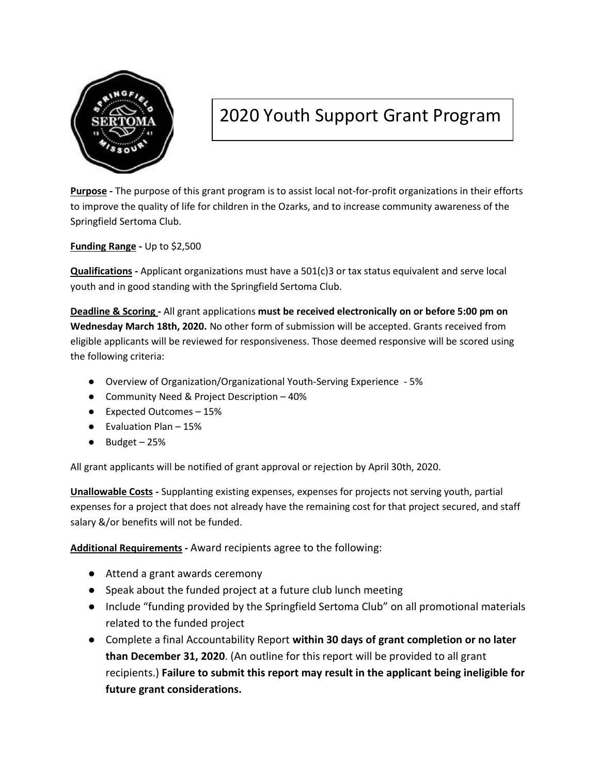

## 2020 Youth Support Grant Program

**Purpose -** The purpose of this grant program is to assist local not-for-profit organizations in their efforts to improve the quality of life for children in the Ozarks, and to increase community awareness of the Springfield Sertoma Club.

**Funding Range -** Up to \$2,500

**Qualifications -** Applicant organizations must have a 501(c)3 or tax status equivalent and serve local youth and in good standing with the Springfield Sertoma Club.

**Deadline & Scoring -** All grant applications **must be received electronically on or before 5:00 pm on Wednesday March 18th, 2020.** No other form of submission will be accepted. Grants received from eligible applicants will be reviewed for responsiveness. Those deemed responsive will be scored using the following criteria:

- Overview of Organization/Organizational Youth-Serving Experience 5%
- Community Need & Project Description 40%
- Expected Outcomes 15%
- $\bullet$  Evaluation Plan 15%
- $\bullet$  Budget 25%

All grant applicants will be notified of grant approval or rejection by April 30th, 2020.

**Unallowable Costs -** Supplanting existing expenses, expenses for projects not serving youth, partial expenses for a project that does not already have the remaining cost for that project secured, and staff salary &/or benefits will not be funded.

**Additional Requirements -** Award recipients agree to the following:

- Attend a grant awards ceremony
- Speak about the funded project at a future club lunch meeting
- Include "funding provided by the Springfield Sertoma Club" on all promotional materials related to the funded project
- Complete a final Accountability Report **within 30 days of grant completion or no later than December 31, 2020**. (An outline for this report will be provided to all grant recipients.) **Failure to submit this report may result in the applicant being ineligible for future grant considerations.**